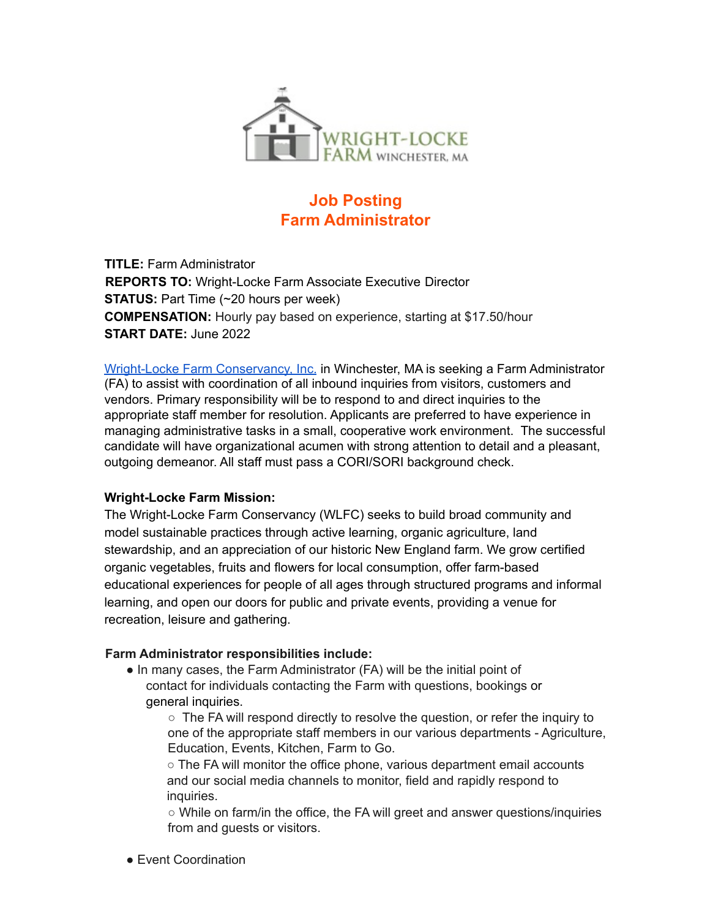

# **Job Posting Farm Administrator**

**TITLE:** Farm Administrator **REPORTS TO:** Wright-Locke Farm Associate Executive Director **STATUS:** Part Time (~20 hours per week) **COMPENSATION:** Hourly pay based on experience, starting at \$17.50/hour **START DATE:** June 2022

Wright-Locke Farm Conservancy, Inc. in Winchester, MA is seeking a Farm Administrator (FA) to assist with coordination of all inbound inquiries from visitors, customers and vendors. Primary responsibility will be to respond to and direct inquiries to the appropriate staff member for resolution. Applicants are preferred to have experience in managing administrative tasks in a small, cooperative work environment. The successful candidate will have organizational acumen with strong attention to detail and a pleasant, outgoing demeanor. All staff must pass a CORI/SORI background check.

# **Wright-Locke Farm Mission:**

The Wright-Locke Farm Conservancy (WLFC) seeks to build broad community and model sustainable practices through active learning, organic agriculture, land stewardship, and an appreciation of our historic New England farm. We grow certified organic vegetables, fruits and flowers for local consumption, offer farm-based educational experiences for people of all ages through structured programs and informal learning, and open our doors for public and private events, providing a venue for recreation, leisure and gathering.

# **Farm Administrator responsibilities include:**

• In many cases, the Farm Administrator (FA) will be the initial point of contact for individuals contacting the Farm with questions, bookings or general inquiries.

 $\circ$  The FA will respond directly to resolve the question, or refer the inquiry to one of the appropriate staff members in our various departments - Agriculture, Education, Events, Kitchen, Farm to Go.

○ The FA will monitor the office phone, various department email accounts and our social media channels to monitor, field and rapidly respond to inquiries.

○ While on farm/in the office, the FA will greet and answer questions/inquiries from and guests or visitors.

● Event Coordination